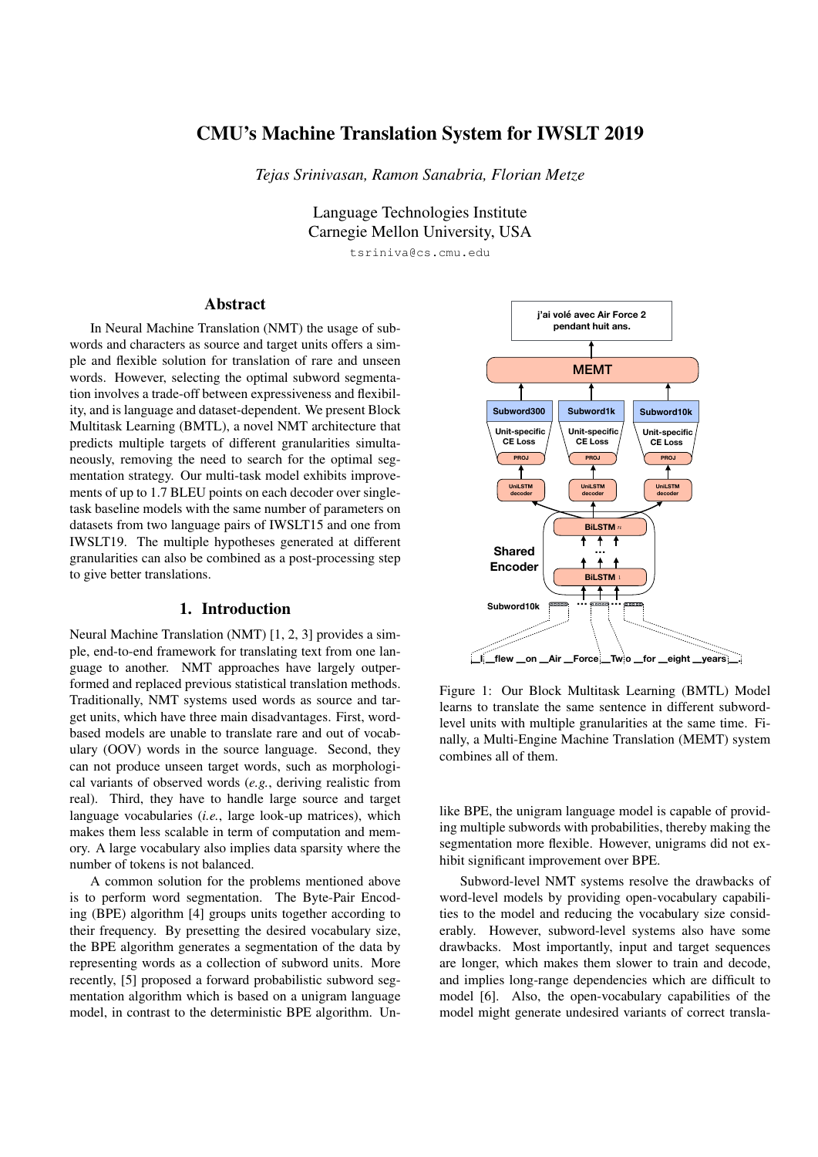# CMU's Machine Translation System for IWSLT 2019

*Tejas Srinivasan, Ramon Sanabria, Florian Metze*

Language Technologies Institute Carnegie Mellon University, USA

tsriniva@cs.cmu.edu

## Abstract

In Neural Machine Translation (NMT) the usage of subwords and characters as source and target units offers a simple and flexible solution for translation of rare and unseen words. However, selecting the optimal subword segmentation involves a trade-off between expressiveness and flexibility, and is language and dataset-dependent. We present Block Multitask Learning (BMTL), a novel NMT architecture that predicts multiple targets of different granularities simultaneously, removing the need to search for the optimal segmentation strategy. Our multi-task model exhibits improvements of up to 1.7 BLEU points on each decoder over singletask baseline models with the same number of parameters on datasets from two language pairs of IWSLT15 and one from IWSLT19. The multiple hypotheses generated at different granularities can also be combined as a post-processing step to give better translations. **̂session ̂on** 

# 1. Introduction

Neural Machine Translation (NMT) [1, 2, 3] provides a simple, end-to-end framework for translating text from one language to another. NMT approaches have largely outperformed and replaced previous statistical translation methods. Traditionally, NMT systems used words as source and target units, which have three main disadvantages. First, wordbased models are unable to translate rare and out of vocabulary (OOV) words in the source language. Second, they can not produce unseen target words, such as morphological variants of observed words (*e.g.*, deriving realistic from real). Third, they have to handle large source and target language vocabularies (*i.e.*, large look-up matrices), which makes them less scalable in term of computation and memory. A large vocabulary also implies data sparsity where the number of tokens is not balanced.

A common solution for the problems mentioned above is to perform word segmentation. The Byte-Pair Encoding (BPE) algorithm [4] groups units together according to their frequency. By presetting the desired vocabulary size, the BPE algorithm generates a segmentation of the data by representing words as a collection of subword units. More recently, [5] proposed a forward probabilistic subword segmentation algorithm which is based on a unigram language model, in contrast to the deterministic BPE algorithm. Un-



**̂I ̂declare**  learns to translate the same sentence in different subwordlevel units with multiple granularities at the same time. Fi-Figure 1: Our Block Multitask Learning (BMTL) Model nally, a Multi-Engine Machine Translation (MEMT) system combines all of them.

like BPE, the unigram language model is capable of providing multiple subwords with probabilities, thereby making the segmentation more flexible. However, unigrams did not exhibit significant improvement over BPE.

Subword-level NMT systems resolve the drawbacks of word-level models by providing open-vocabulary capabilities to the model and reducing the vocabulary size considerably. However, subword-level systems also have some drawbacks. Most importantly, input and target sequences are longer, which makes them slower to train and decode, and implies long-range dependencies which are difficult to model [6]. Also, the open-vocabulary capabilities of the model might generate undesired variants of correct transla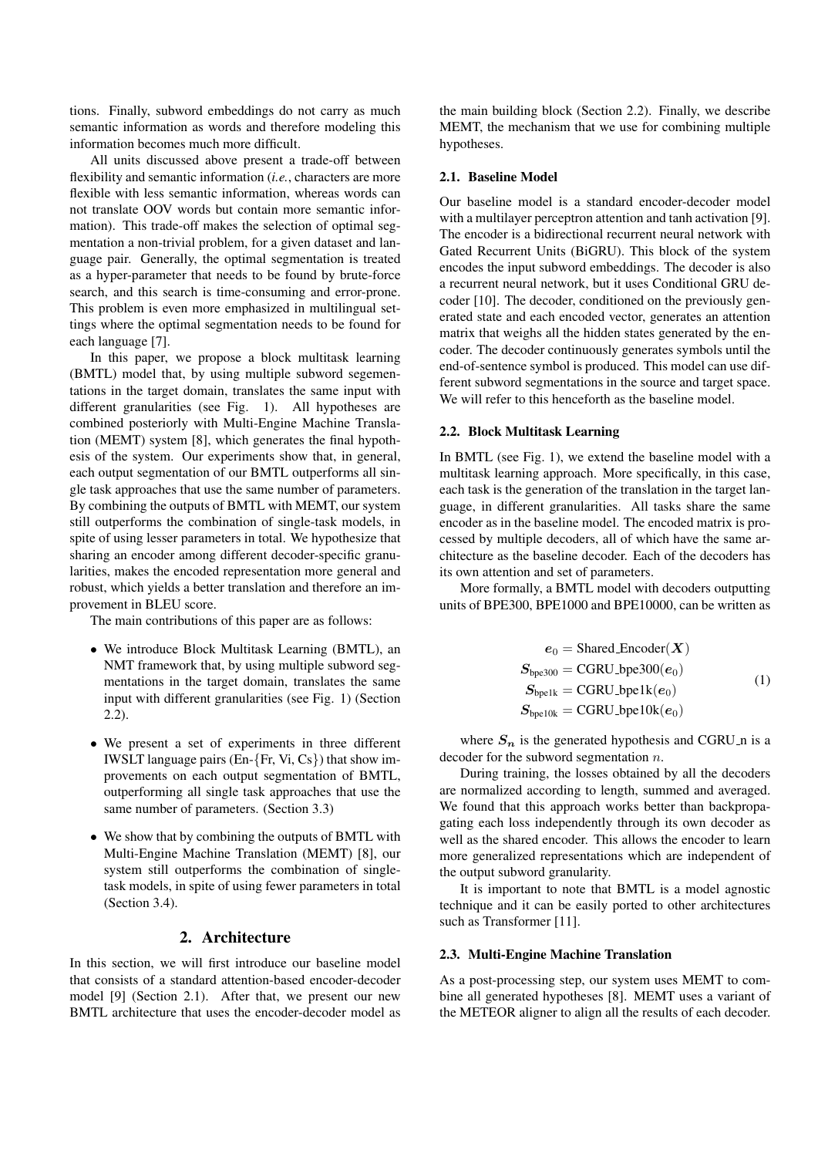tions. Finally, subword embeddings do not carry as much semantic information as words and therefore modeling this information becomes much more difficult.

All units discussed above present a trade-off between flexibility and semantic information (*i.e.*, characters are more flexible with less semantic information, whereas words can not translate OOV words but contain more semantic information). This trade-off makes the selection of optimal segmentation a non-trivial problem, for a given dataset and language pair. Generally, the optimal segmentation is treated as a hyper-parameter that needs to be found by brute-force search, and this search is time-consuming and error-prone. This problem is even more emphasized in multilingual settings where the optimal segmentation needs to be found for each language [7].

In this paper, we propose a block multitask learning (BMTL) model that, by using multiple subword segementations in the target domain, translates the same input with different granularities (see Fig. 1). All hypotheses are combined posteriorly with Multi-Engine Machine Translation (MEMT) system [8], which generates the final hypothesis of the system. Our experiments show that, in general, each output segmentation of our BMTL outperforms all single task approaches that use the same number of parameters. By combining the outputs of BMTL with MEMT, our system still outperforms the combination of single-task models, in spite of using lesser parameters in total. We hypothesize that sharing an encoder among different decoder-specific granularities, makes the encoded representation more general and robust, which yields a better translation and therefore an improvement in BLEU score.

The main contributions of this paper are as follows:

- We introduce Block Multitask Learning (BMTL), an NMT framework that, by using multiple subword segmentations in the target domain, translates the same input with different granularities (see Fig. 1) (Section 2.2).
- We present a set of experiments in three different IWSLT language pairs (En-{Fr, Vi, Cs}) that show improvements on each output segmentation of BMTL, outperforming all single task approaches that use the same number of parameters. (Section 3.3)
- We show that by combining the outputs of BMTL with Multi-Engine Machine Translation (MEMT) [8], our system still outperforms the combination of singletask models, in spite of using fewer parameters in total (Section 3.4).

# 2. Architecture

In this section, we will first introduce our baseline model that consists of a standard attention-based encoder-decoder model [9] (Section 2.1). After that, we present our new BMTL architecture that uses the encoder-decoder model as the main building block (Section 2.2). Finally, we describe MEMT, the mechanism that we use for combining multiple hypotheses.

## 2.1. Baseline Model

Our baseline model is a standard encoder-decoder model with a multilayer perceptron attention and tanh activation [9]. The encoder is a bidirectional recurrent neural network with Gated Recurrent Units (BiGRU). This block of the system encodes the input subword embeddings. The decoder is also a recurrent neural network, but it uses Conditional GRU decoder [10]. The decoder, conditioned on the previously generated state and each encoded vector, generates an attention matrix that weighs all the hidden states generated by the encoder. The decoder continuously generates symbols until the end-of-sentence symbol is produced. This model can use different subword segmentations in the source and target space. We will refer to this henceforth as the baseline model.

## 2.2. Block Multitask Learning

In BMTL (see Fig. 1), we extend the baseline model with a multitask learning approach. More specifically, in this case, each task is the generation of the translation in the target language, in different granularities. All tasks share the same encoder as in the baseline model. The encoded matrix is processed by multiple decoders, all of which have the same architecture as the baseline decoder. Each of the decoders has its own attention and set of parameters.

More formally, a BMTL model with decoders outputting units of BPE300, BPE1000 and BPE10000, can be written as

$$
e_0 = \text{Shared\_Encoder}(X)
$$
  
\n
$$
S_{\text{bpe300}} = \text{CGRU\_bpe300}(e_0)
$$
  
\n
$$
S_{\text{bpe10k}} = \text{CGRU\_bpe10k}(e_0)
$$
  
\n
$$
S_{\text{bpe10k}} = \text{CGRU\_bpe10k}(e_0)
$$
 (1)

where  $S_n$  is the generated hypothesis and CGRU n is a decoder for the subword segmentation  $n$ .

During training, the losses obtained by all the decoders are normalized according to length, summed and averaged. We found that this approach works better than backpropagating each loss independently through its own decoder as well as the shared encoder. This allows the encoder to learn more generalized representations which are independent of the output subword granularity.

It is important to note that BMTL is a model agnostic technique and it can be easily ported to other architectures such as Transformer [11].

## 2.3. Multi-Engine Machine Translation

As a post-processing step, our system uses MEMT to combine all generated hypotheses [8]. MEMT uses a variant of the METEOR aligner to align all the results of each decoder.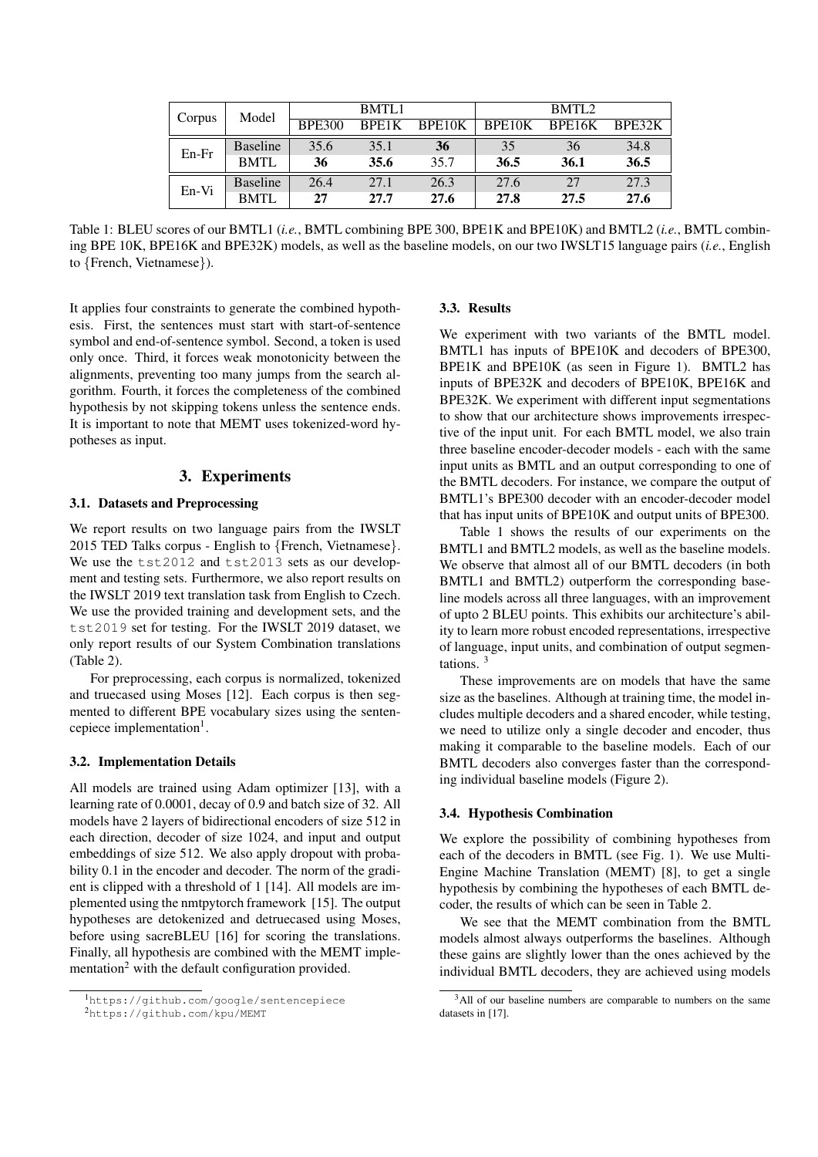| Corpus  | Model           | BMTL1         |       |                     | BMTL <sub>2</sub> |        |        |
|---------|-----------------|---------------|-------|---------------------|-------------------|--------|--------|
|         |                 | <b>BPE300</b> | BPE1K | BPE <sub>10</sub> K | BPE10K            | BPE16K | BPE32K |
| $En-Fr$ | <b>Baseline</b> | 35.6          | 35.1  | 36                  | 35                | 36     | 34.8   |
|         | <b>BMTL</b>     | 36            | 35.6  | 35.7                | 36.5              | 36.1   | 36.5   |
| En-Vi   | <b>Baseline</b> | 26.4          | 27.1  | 26.3                | 27.6              | 27     | 27.3   |
|         | <b>BMTL</b>     | 27            | 27.7  | 27.6                | 27.8              | 27.5   | 27.6   |

Table 1: BLEU scores of our BMTL1 (*i.e.*, BMTL combining BPE 300, BPE1K and BPE10K) and BMTL2 (*i.e.*, BMTL combining BPE 10K, BPE16K and BPE32K) models, as well as the baseline models, on our two IWSLT15 language pairs (*i.e.*, English to {French, Vietnamese}).

It applies four constraints to generate the combined hypothesis. First, the sentences must start with start-of-sentence symbol and end-of-sentence symbol. Second, a token is used only once. Third, it forces weak monotonicity between the alignments, preventing too many jumps from the search algorithm. Fourth, it forces the completeness of the combined hypothesis by not skipping tokens unless the sentence ends. It is important to note that MEMT uses tokenized-word hypotheses as input.

# 3. Experiments

## 3.1. Datasets and Preprocessing

We report results on two language pairs from the IWSLT 2015 TED Talks corpus - English to {French, Vietnamese}. We use the tst2012 and tst2013 sets as our development and testing sets. Furthermore, we also report results on the IWSLT 2019 text translation task from English to Czech. We use the provided training and development sets, and the tst2019 set for testing. For the IWSLT 2019 dataset, we only report results of our System Combination translations (Table 2).

For preprocessing, each corpus is normalized, tokenized and truecased using Moses [12]. Each corpus is then segmented to different BPE vocabulary sizes using the sentencepiece implementation<sup>1</sup>.

#### 3.2. Implementation Details

All models are trained using Adam optimizer [13], with a learning rate of 0.0001, decay of 0.9 and batch size of 32. All models have 2 layers of bidirectional encoders of size 512 in each direction, decoder of size 1024, and input and output embeddings of size 512. We also apply dropout with probability 0.1 in the encoder and decoder. The norm of the gradient is clipped with a threshold of 1 [14]. All models are implemented using the nmtpytorch framework [15]. The output hypotheses are detokenized and detruecased using Moses, before using sacreBLEU [16] for scoring the translations. Finally, all hypothesis are combined with the MEMT implementation<sup>2</sup> with the default configuration provided.

## 3.3. Results

We experiment with two variants of the BMTL model. BMTL1 has inputs of BPE10K and decoders of BPE300, BPE1K and BPE10K (as seen in Figure 1). BMTL2 has inputs of BPE32K and decoders of BPE10K, BPE16K and BPE32K. We experiment with different input segmentations to show that our architecture shows improvements irrespective of the input unit. For each BMTL model, we also train three baseline encoder-decoder models - each with the same input units as BMTL and an output corresponding to one of the BMTL decoders. For instance, we compare the output of BMTL1's BPE300 decoder with an encoder-decoder model that has input units of BPE10K and output units of BPE300.

Table 1 shows the results of our experiments on the BMTL1 and BMTL2 models, as well as the baseline models. We observe that almost all of our BMTL decoders (in both BMTL1 and BMTL2) outperform the corresponding baseline models across all three languages, with an improvement of upto 2 BLEU points. This exhibits our architecture's ability to learn more robust encoded representations, irrespective of language, input units, and combination of output segmentations. <sup>3</sup>

These improvements are on models that have the same size as the baselines. Although at training time, the model includes multiple decoders and a shared encoder, while testing, we need to utilize only a single decoder and encoder, thus making it comparable to the baseline models. Each of our BMTL decoders also converges faster than the corresponding individual baseline models (Figure 2).

#### 3.4. Hypothesis Combination

We explore the possibility of combining hypotheses from each of the decoders in BMTL (see Fig. 1). We use Multi-Engine Machine Translation (MEMT) [8], to get a single hypothesis by combining the hypotheses of each BMTL decoder, the results of which can be seen in Table 2.

We see that the MEMT combination from the BMTL models almost always outperforms the baselines. Although these gains are slightly lower than the ones achieved by the individual BMTL decoders, they are achieved using models

<sup>1</sup>https://github.com/google/sentencepiece <sup>2</sup>https://github.com/kpu/MEMT

<sup>3</sup>All of our baseline numbers are comparable to numbers on the same datasets in [17].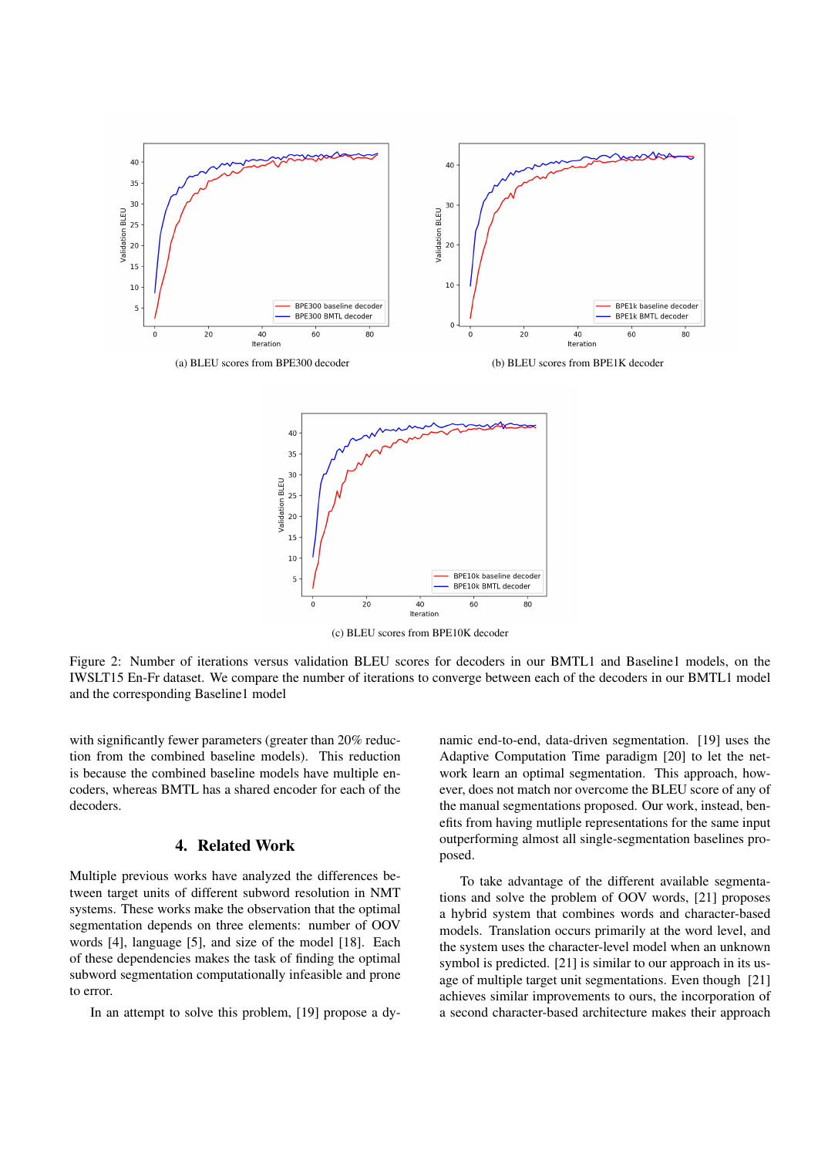



(c) BLEU scores from BPE10K decoder

Figure 2: Number of iterations versus validation BLEU scores for decoders in our BMTL1 and Baseline1 models, on the IWSLT15 En-Fr dataset. We compare the number of iterations to converge between each of the decoders in our BMTL1 model and the corresponding Baseline1 model

with significantly fewer parameters (greater than 20% reduction from the combined baseline models). This reduction is because the combined baseline models have multiple encoders, whereas BMTL has a shared encoder for each of the decoders.

# 4. Related Work

Multiple previous works have analyzed the differences between target units of different subword resolution in NMT systems. These works make the observation that the optimal segmentation depends on three elements: number of OOV words [4], language [5], and size of the model [18]. Each of these dependencies makes the task of finding the optimal subword segmentation computationally infeasible and prone to error.

In an attempt to solve this problem, [19] propose a dy-

namic end-to-end, data-driven segmentation. [19] uses the Adaptive Computation Time paradigm [20] to let the network learn an optimal segmentation. This approach, however, does not match nor overcome the BLEU score of any of the manual segmentations proposed. Our work, instead, benefits from having mutliple representations for the same input outperforming almost all single-segmentation baselines proposed.

To take advantage of the different available segmentations and solve the problem of OOV words, [21] proposes a hybrid system that combines words and character-based models. Translation occurs primarily at the word level, and the system uses the character-level model when an unknown symbol is predicted. [21] is similar to our approach in its usage of multiple target unit segmentations. Even though [21] achieves similar improvements to ours, the incorporation of a second character-based architecture makes their approach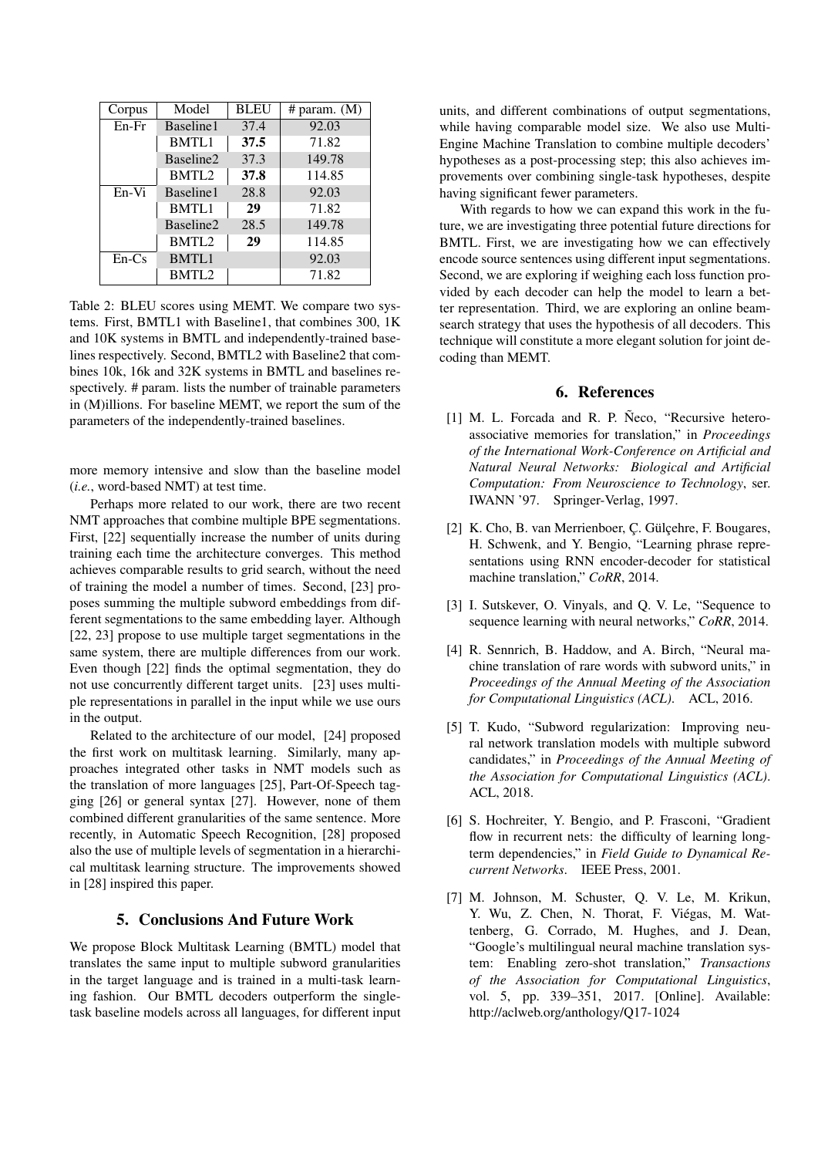| Corpus  | Model             | <b>BLEU</b> | # param. $(M)$ |
|---------|-------------------|-------------|----------------|
| $En-Fr$ | Baseline1         | 37.4        | 92.03          |
|         | <b>BMTL1</b>      | 37.5        | 71.82          |
|         | Baseline2         | 37.3        | 149.78         |
|         | BMTL <sub>2</sub> | 37.8        | 114.85         |
| $En-Vi$ | Baseline1         | 28.8        | 92.03          |
|         | <b>BMTL1</b>      | 29          | 71.82          |
|         | Baseline2         | 28.5        | 149.78         |
|         | BMTL <sub>2</sub> | 29          | 114.85         |
| $En-Cs$ | <b>BMTL1</b>      |             | 92.03          |
|         | BMTL <sub>2</sub> |             | 71.82          |

Table 2: BLEU scores using MEMT. We compare two systems. First, BMTL1 with Baseline1, that combines 300, 1K and 10K systems in BMTL and independently-trained baselines respectively. Second, BMTL2 with Baseline2 that combines 10k, 16k and 32K systems in BMTL and baselines respectively. # param. lists the number of trainable parameters in (M)illions. For baseline MEMT, we report the sum of the parameters of the independently-trained baselines.

more memory intensive and slow than the baseline model (*i.e.*, word-based NMT) at test time.

Perhaps more related to our work, there are two recent NMT approaches that combine multiple BPE segmentations. First, [22] sequentially increase the number of units during training each time the architecture converges. This method achieves comparable results to grid search, without the need of training the model a number of times. Second, [23] proposes summing the multiple subword embeddings from different segmentations to the same embedding layer. Although [22, 23] propose to use multiple target segmentations in the same system, there are multiple differences from our work. Even though [22] finds the optimal segmentation, they do not use concurrently different target units. [23] uses multiple representations in parallel in the input while we use ours in the output.

Related to the architecture of our model, [24] proposed the first work on multitask learning. Similarly, many approaches integrated other tasks in NMT models such as the translation of more languages [25], Part-Of-Speech tagging [26] or general syntax [27]. However, none of them combined different granularities of the same sentence. More recently, in Automatic Speech Recognition, [28] proposed also the use of multiple levels of segmentation in a hierarchical multitask learning structure. The improvements showed in [28] inspired this paper.

# 5. Conclusions And Future Work

We propose Block Multitask Learning (BMTL) model that translates the same input to multiple subword granularities in the target language and is trained in a multi-task learning fashion. Our BMTL decoders outperform the singletask baseline models across all languages, for different input

units, and different combinations of output segmentations, while having comparable model size. We also use Multi-Engine Machine Translation to combine multiple decoders' hypotheses as a post-processing step; this also achieves improvements over combining single-task hypotheses, despite having significant fewer parameters.

With regards to how we can expand this work in the future, we are investigating three potential future directions for BMTL. First, we are investigating how we can effectively encode source sentences using different input segmentations. Second, we are exploring if weighing each loss function provided by each decoder can help the model to learn a better representation. Third, we are exploring an online beamsearch strategy that uses the hypothesis of all decoders. This technique will constitute a more elegant solution for joint decoding than MEMT.

## 6. References

- [1] M. L. Forcada and R. P. Neco, "Recursive heteroassociative memories for translation," in *Proceedings of the International Work-Conference on Artificial and Natural Neural Networks: Biological and Artificial Computation: From Neuroscience to Technology*, ser. IWANN '97. Springer-Verlag, 1997.
- [2] K. Cho, B. van Merrienboer, C. Gülçehre, F. Bougares, H. Schwenk, and Y. Bengio, "Learning phrase representations using RNN encoder-decoder for statistical machine translation," *CoRR*, 2014.
- [3] I. Sutskever, O. Vinyals, and Q. V. Le, "Sequence to sequence learning with neural networks," *CoRR*, 2014.
- [4] R. Sennrich, B. Haddow, and A. Birch, "Neural machine translation of rare words with subword units," in *Proceedings of the Annual Meeting of the Association for Computational Linguistics (ACL)*. ACL, 2016.
- [5] T. Kudo, "Subword regularization: Improving neural network translation models with multiple subword candidates," in *Proceedings of the Annual Meeting of the Association for Computational Linguistics (ACL)*. ACL, 2018.
- [6] S. Hochreiter, Y. Bengio, and P. Frasconi, "Gradient flow in recurrent nets: the difficulty of learning longterm dependencies," in *Field Guide to Dynamical Recurrent Networks*. IEEE Press, 2001.
- [7] M. Johnson, M. Schuster, Q. V. Le, M. Krikun, Y. Wu, Z. Chen, N. Thorat, F. Viégas, M. Wattenberg, G. Corrado, M. Hughes, and J. Dean, "Google's multilingual neural machine translation system: Enabling zero-shot translation," *Transactions of the Association for Computational Linguistics*, vol. 5, pp. 339–351, 2017. [Online]. Available: http://aclweb.org/anthology/Q17-1024